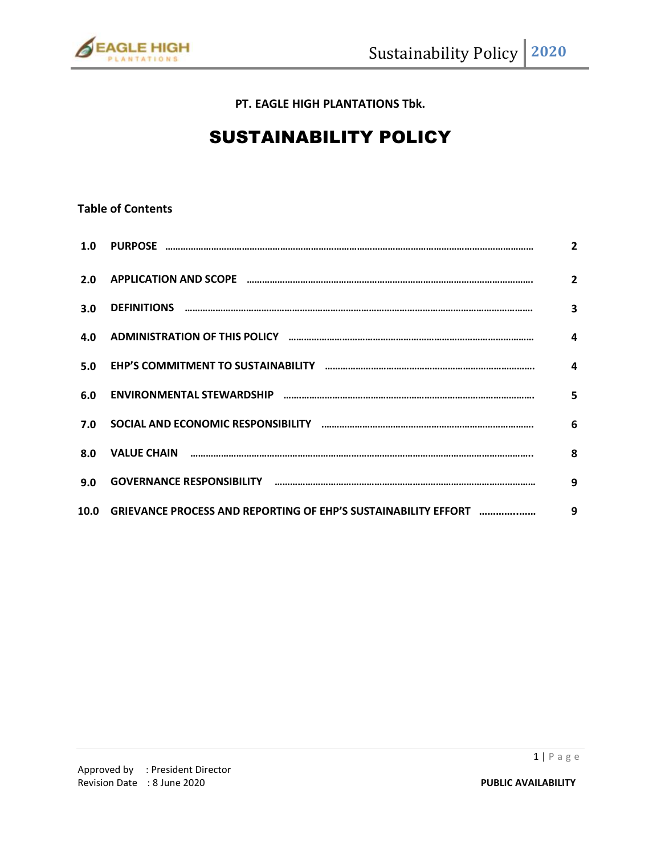

**PT. EAGLE HIGH PLANTATIONS Tbk.**

# SUSTAINABILITY POLICY

# **Table of Contents**

|      |                                                                                                                      | $\overline{2}$          |
|------|----------------------------------------------------------------------------------------------------------------------|-------------------------|
| 2.0  |                                                                                                                      | $\overline{2}$          |
| 3.0  |                                                                                                                      | $\overline{\mathbf{3}}$ |
| 4.0  | ADMINISTRATION OF THIS POLICY <b>Examinal Construction Construction</b> Construction Construction Construction Const | $\mathbf{A}$            |
| 5.0  |                                                                                                                      | $\overline{a}$          |
| 6.0  |                                                                                                                      | $\overline{\mathbf{5}}$ |
| 7.0  |                                                                                                                      | 6                       |
| 8.0  |                                                                                                                      | 8                       |
| 9.0  |                                                                                                                      | 9                       |
| 10.0 | GRIEVANCE PROCESS AND REPORTING OF EHP'S SUSTAINABILITY EFFORT                                                       | 9                       |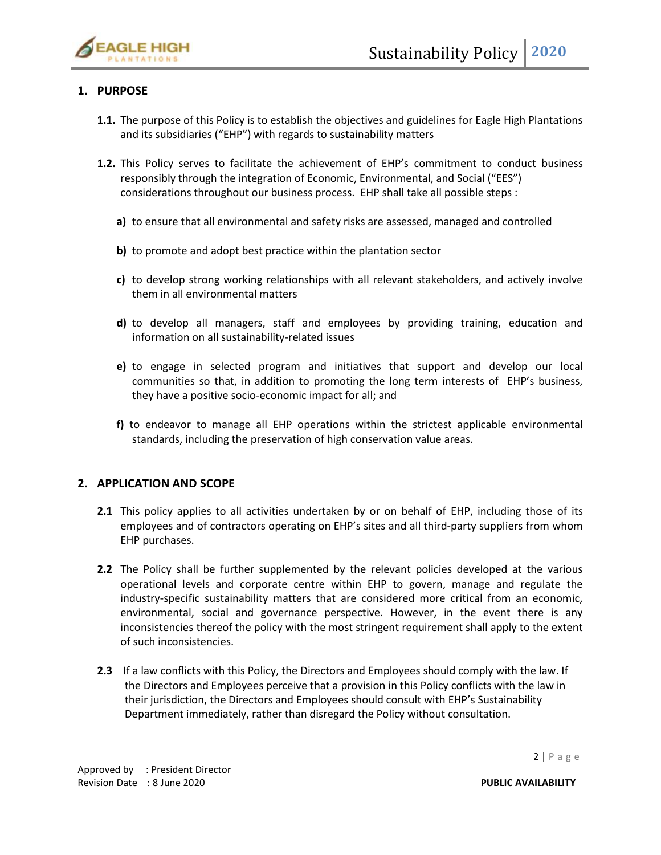

# **1. PURPOSE**

- **1.1.** The purpose of this Policy is to establish the objectives and guidelines for Eagle High Plantations and its subsidiaries ("EHP") with regards to sustainability matters
- **1.2.** This Policy serves to facilitate the achievement of EHP's commitment to conduct business responsibly through the integration of Economic, Environmental, and Social ("EES") considerations throughout our business process. EHP shall take all possible steps :
	- **a)** to ensure that all environmental and safety risks are assessed, managed and controlled
	- **b)** to promote and adopt best practice within the plantation sector
	- **c)** to develop strong working relationships with all relevant stakeholders, and actively involve them in all environmental matters
	- **d)** to develop all managers, staff and employees by providing training, education and information on all sustainability-related issues
	- **e)** to engage in selected program and initiatives that support and develop our local communities so that, in addition to promoting the long term interests of EHP's business, they have a positive socio-economic impact for all; and
	- **f)** to endeavor to manage all EHP operations within the strictest applicable environmental standards, including the preservation of high conservation value areas.

# **2. APPLICATION AND SCOPE**

- **2.1** This policy applies to all activities undertaken by or on behalf of EHP, including those of its employees and of contractors operating on EHP's sites and all third-party suppliers from whom EHP purchases.
- **2.2** The Policy shall be further supplemented by the relevant policies developed at the various operational levels and corporate centre within EHP to govern, manage and regulate the industry-specific sustainability matters that are considered more critical from an economic, environmental, social and governance perspective. However, in the event there is any inconsistencies thereof the policy with the most stringent requirement shall apply to the extent of such inconsistencies.
- **2.3** If a law conflicts with this Policy, the Directors and Employees should comply with the law. If the Directors and Employees perceive that a provision in this Policy conflicts with the law in their jurisdiction, the Directors and Employees should consult with EHP's Sustainability Department immediately, rather than disregard the Policy without consultation.

 $2 | P \text{ a } g \text{ e}$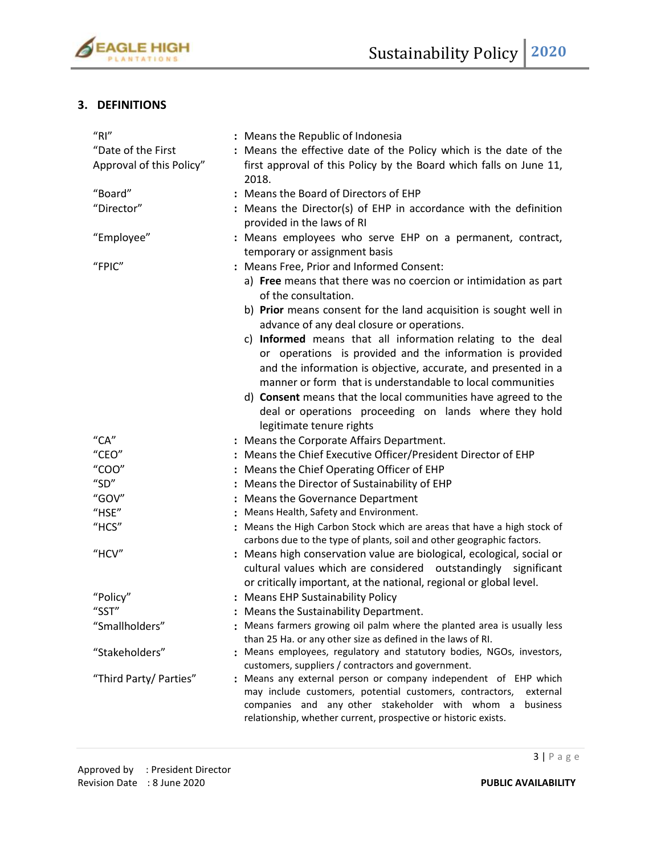

# **3. DEFINITIONS**

| ''R''                     | : Means the Republic of Indonesia                                                                                                                                                                                                                                        |
|---------------------------|--------------------------------------------------------------------------------------------------------------------------------------------------------------------------------------------------------------------------------------------------------------------------|
| "Date of the First        | : Means the effective date of the Policy which is the date of the                                                                                                                                                                                                        |
| Approval of this Policy"  | first approval of this Policy by the Board which falls on June 11,<br>2018.                                                                                                                                                                                              |
| "Board"                   | : Means the Board of Directors of EHP                                                                                                                                                                                                                                    |
| "Director"                | : Means the Director(s) of EHP in accordance with the definition<br>provided in the laws of RI                                                                                                                                                                           |
| "Employee"                | : Means employees who serve EHP on a permanent, contract,<br>temporary or assignment basis                                                                                                                                                                               |
| "FPIC"                    | : Means Free, Prior and Informed Consent:                                                                                                                                                                                                                                |
|                           | a) Free means that there was no coercion or intimidation as part<br>of the consultation.                                                                                                                                                                                 |
|                           | b) Prior means consent for the land acquisition is sought well in<br>advance of any deal closure or operations.                                                                                                                                                          |
|                           | c) Informed means that all information relating to the deal<br>or operations is provided and the information is provided<br>and the information is objective, accurate, and presented in a<br>manner or form that is understandable to local communities                 |
|                           | d) Consent means that the local communities have agreed to the<br>deal or operations proceeding on lands where they hold                                                                                                                                                 |
|                           | legitimate tenure rights                                                                                                                                                                                                                                                 |
| $C^{\prime}$ CA"<br>CEO'' | : Means the Corporate Affairs Department.                                                                                                                                                                                                                                |
| "COO"                     | : Means the Chief Executive Officer/President Director of EHP                                                                                                                                                                                                            |
| "SD"                      | : Means the Chief Operating Officer of EHP<br>: Means the Director of Sustainability of EHP                                                                                                                                                                              |
| "GOV"                     | : Means the Governance Department                                                                                                                                                                                                                                        |
| "HSE"                     | : Means Health, Safety and Environment.                                                                                                                                                                                                                                  |
| "HCS"                     | : Means the High Carbon Stock which are areas that have a high stock of                                                                                                                                                                                                  |
|                           | carbons due to the type of plants, soil and other geographic factors.                                                                                                                                                                                                    |
| "HCV"                     | : Means high conservation value are biological, ecological, social or<br>cultural values which are considered outstandingly significant<br>or critically important, at the national, regional or global level.                                                           |
| "Policy"                  | : Means EHP Sustainability Policy                                                                                                                                                                                                                                        |
| "SST"                     | : Means the Sustainability Department.                                                                                                                                                                                                                                   |
| "Smallholders"            | : Means farmers growing oil palm where the planted area is usually less<br>than 25 Ha. or any other size as defined in the laws of RI.                                                                                                                                   |
| "Stakeholders"            | : Means employees, regulatory and statutory bodies, NGOs, investors,<br>customers, suppliers / contractors and government.                                                                                                                                               |
| "Third Party/ Parties"    | : Means any external person or company independent of EHP which<br>may include customers, potential customers, contractors,<br>external<br>companies and any other stakeholder with whom a<br>business<br>relationship, whether current, prospective or historic exists. |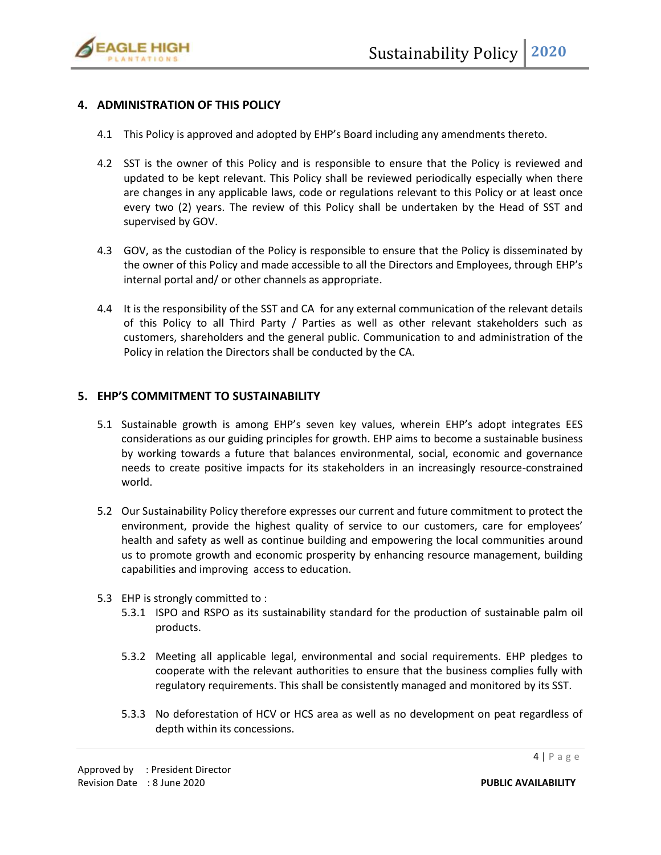

# **4. ADMINISTRATION OF THIS POLICY**

- 4.1 This Policy is approved and adopted by EHP's Board including any amendments thereto.
- 4.2 SST is the owner of this Policy and is responsible to ensure that the Policy is reviewed and updated to be kept relevant. This Policy shall be reviewed periodically especially when there are changes in any applicable laws, code or regulations relevant to this Policy or at least once every two (2) years. The review of this Policy shall be undertaken by the Head of SST and supervised by GOV.
- 4.3 GOV, as the custodian of the Policy is responsible to ensure that the Policy is disseminated by the owner of this Policy and made accessible to all the Directors and Employees, through EHP's internal portal and/ or other channels as appropriate.
- 4.4 It is the responsibility of the SST and CA for any external communication of the relevant details of this Policy to all Third Party / Parties as well as other relevant stakeholders such as customers, shareholders and the general public. Communication to and administration of the Policy in relation the Directors shall be conducted by the CA.

# **5. EHP'S COMMITMENT TO SUSTAINABILITY**

- 5.1 Sustainable growth is among EHP's seven key values, wherein EHP's adopt integrates EES considerations as our guiding principles for growth. EHP aims to become a sustainable business by working towards a future that balances environmental, social, economic and governance needs to create positive impacts for its stakeholders in an increasingly resource-constrained world.
- 5.2 Our Sustainability Policy therefore expresses our current and future commitment to protect the environment, provide the highest quality of service to our customers, care for employees' health and safety as well as continue building and empowering the local communities around us to promote growth and economic prosperity by enhancing resource management, building capabilities and improving access to education.
- 5.3 EHP is strongly committed to :
	- 5.3.1 ISPO and RSPO as its sustainability standard for the production of sustainable palm oil products.
	- 5.3.2 Meeting all applicable legal, environmental and social requirements. EHP pledges to cooperate with the relevant authorities to ensure that the business complies fully with regulatory requirements. This shall be consistently managed and monitored by its SST.
	- 5.3.3 No deforestation of HCV or HCS area as well as no development on peat regardless of depth within its concessions.

 $4 | P \text{ a g e}$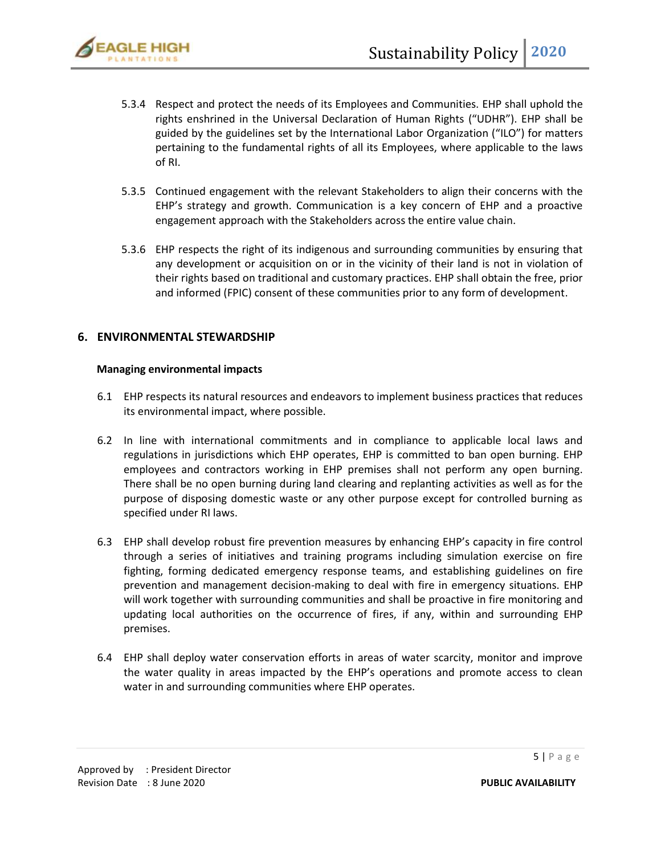- 5.3.4 Respect and protect the needs of its Employees and Communities. EHP shall uphold the rights enshrined in the Universal Declaration of Human Rights ("UDHR"). EHP shall be guided by the guidelines set by the International Labor Organization ("ILO") for matters pertaining to the fundamental rights of all its Employees, where applicable to the laws of RI.
- 5.3.5 Continued engagement with the relevant Stakeholders to align their concerns with the EHP's strategy and growth. Communication is a key concern of EHP and a proactive engagement approach with the Stakeholders across the entire value chain.
- 5.3.6 EHP respects the right of its indigenous and surrounding communities by ensuring that any development or acquisition on or in the vicinity of their land is not in violation of their rights based on traditional and customary practices. EHP shall obtain the free, prior and informed (FPIC) consent of these communities prior to any form of development.

# **6. ENVIRONMENTAL STEWARDSHIP**

#### **Managing environmental impacts**

- 6.1 EHP respects its natural resources and endeavors to implement business practices that reduces its environmental impact, where possible.
- 6.2 In line with international commitments and in compliance to applicable local laws and regulations in jurisdictions which EHP operates, EHP is committed to ban open burning. EHP employees and contractors working in EHP premises shall not perform any open burning. There shall be no open burning during land clearing and replanting activities as well as for the purpose of disposing domestic waste or any other purpose except for controlled burning as specified under RI laws.
- 6.3 EHP shall develop robust fire prevention measures by enhancing EHP's capacity in fire control through a series of initiatives and training programs including simulation exercise on fire fighting, forming dedicated emergency response teams, and establishing guidelines on fire prevention and management decision-making to deal with fire in emergency situations. EHP will work together with surrounding communities and shall be proactive in fire monitoring and updating local authorities on the occurrence of fires, if any, within and surrounding EHP premises.
- 6.4 EHP shall deploy water conservation efforts in areas of water scarcity, monitor and improve the water quality in areas impacted by the EHP's operations and promote access to clean water in and surrounding communities where EHP operates.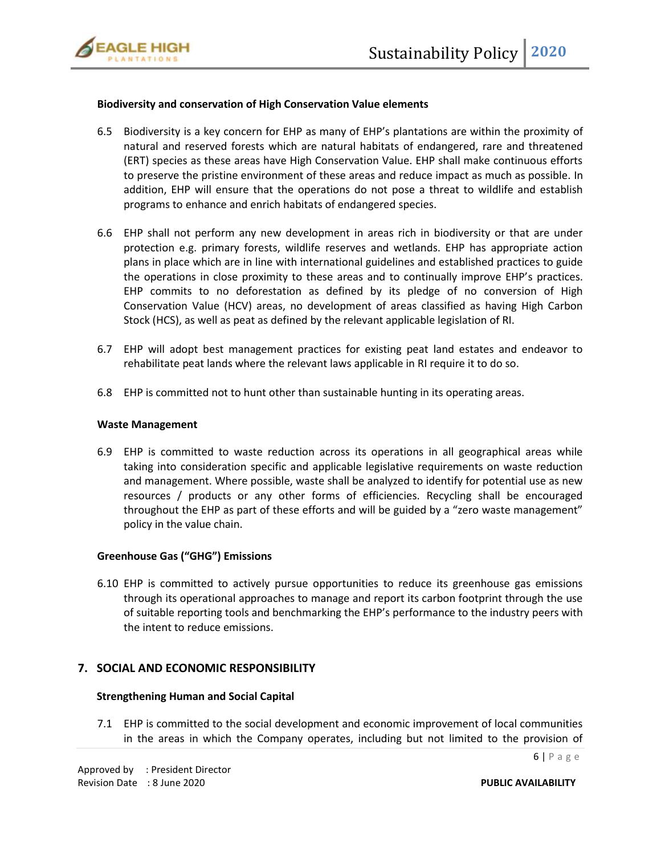

## **Biodiversity and conservation of High Conservation Value elements**

- 6.5 Biodiversity is a key concern for EHP as many of EHP's plantations are within the proximity of natural and reserved forests which are natural habitats of endangered, rare and threatened (ERT) species as these areas have High Conservation Value. EHP shall make continuous efforts to preserve the pristine environment of these areas and reduce impact as much as possible. In addition, EHP will ensure that the operations do not pose a threat to wildlife and establish programs to enhance and enrich habitats of endangered species.
- 6.6 EHP shall not perform any new development in areas rich in biodiversity or that are under protection e.g. primary forests, wildlife reserves and wetlands. EHP has appropriate action plans in place which are in line with international guidelines and established practices to guide the operations in close proximity to these areas and to continually improve EHP's practices. EHP commits to no deforestation as defined by its pledge of no conversion of High Conservation Value (HCV) areas, no development of areas classified as having High Carbon Stock (HCS), as well as peat as defined by the relevant applicable legislation of RI.
- 6.7 EHP will adopt best management practices for existing peat land estates and endeavor to rehabilitate peat lands where the relevant laws applicable in RI require it to do so.
- 6.8 EHP is committed not to hunt other than sustainable hunting in its operating areas.

#### **Waste Management**

6.9 EHP is committed to waste reduction across its operations in all geographical areas while taking into consideration specific and applicable legislative requirements on waste reduction and management. Where possible, waste shall be analyzed to identify for potential use as new resources / products or any other forms of efficiencies. Recycling shall be encouraged throughout the EHP as part of these efforts and will be guided by a "zero waste management" policy in the value chain.

## **Greenhouse Gas ("GHG") Emissions**

6.10 EHP is committed to actively pursue opportunities to reduce its greenhouse gas emissions through its operational approaches to manage and report its carbon footprint through the use of suitable reporting tools and benchmarking the EHP's performance to the industry peers with the intent to reduce emissions.

## **7. SOCIAL AND ECONOMIC RESPONSIBILITY**

#### **Strengthening Human and Social Capital**

7.1 EHP is committed to the social development and economic improvement of local communities in the areas in which the Company operates, including but not limited to the provision of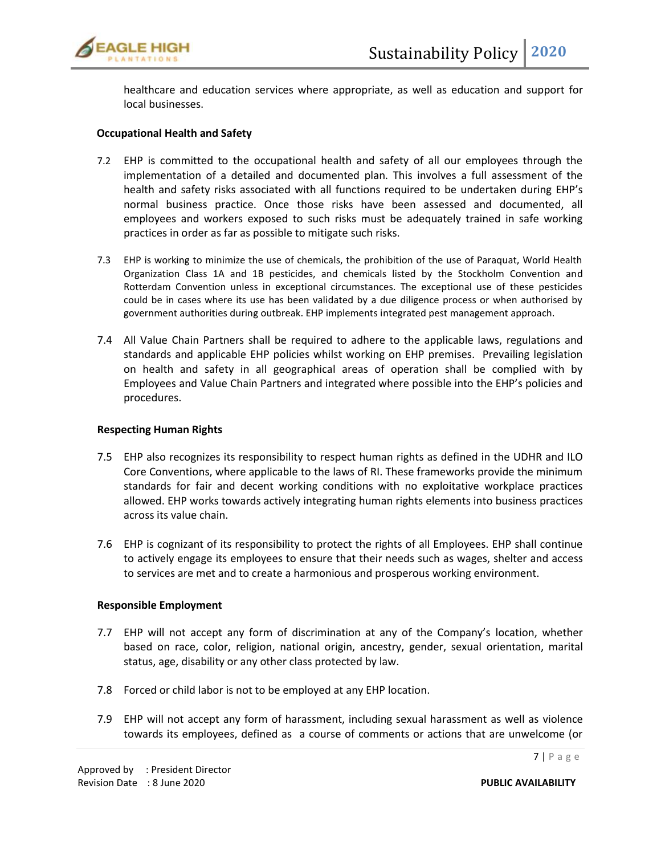

healthcare and education services where appropriate, as well as education and support for local businesses.

#### **Occupational Health and Safety**

- 7.2 EHP is committed to the occupational health and safety of all our employees through the implementation of a detailed and documented plan. This involves a full assessment of the health and safety risks associated with all functions required to be undertaken during EHP's normal business practice. Once those risks have been assessed and documented, all employees and workers exposed to such risks must be adequately trained in safe working practices in order as far as possible to mitigate such risks.
- 7.3 EHP is working to minimize the use of chemicals, the prohibition of the use of Paraquat, World Health Organization Class 1A and 1B pesticides, and chemicals listed by the Stockholm Convention and Rotterdam Convention unless in exceptional circumstances. The exceptional use of these pesticides could be in cases where its use has been validated by a due diligence process or when authorised by government authorities during outbreak. EHP implements integrated pest management approach.
- 7.4 All Value Chain Partners shall be required to adhere to the applicable laws, regulations and standards and applicable EHP policies whilst working on EHP premises. Prevailing legislation on health and safety in all geographical areas of operation shall be complied with by Employees and Value Chain Partners and integrated where possible into the EHP's policies and procedures.

#### **Respecting Human Rights**

- 7.5 EHP also recognizes its responsibility to respect human rights as defined in the UDHR and ILO Core Conventions, where applicable to the laws of RI. These frameworks provide the minimum standards for fair and decent working conditions with no exploitative workplace practices allowed. EHP works towards actively integrating human rights elements into business practices across its value chain.
- 7.6 EHP is cognizant of its responsibility to protect the rights of all Employees. EHP shall continue to actively engage its employees to ensure that their needs such as wages, shelter and access to services are met and to create a harmonious and prosperous working environment.

## **Responsible Employment**

Approved by : President Director

- 7.7 EHP will not accept any form of discrimination at any of the Company's location, whether based on race, color, religion, national origin, ancestry, gender, sexual orientation, marital status, age, disability or any other class protected by law.
- 7.8 Forced or child labor is not to be employed at any EHP location.
- 7.9 EHP will not accept any form of harassment, including sexual harassment as well as violence towards its employees, defined as a course of comments or actions that are unwelcome (or

 $7 | P \text{ a g e}$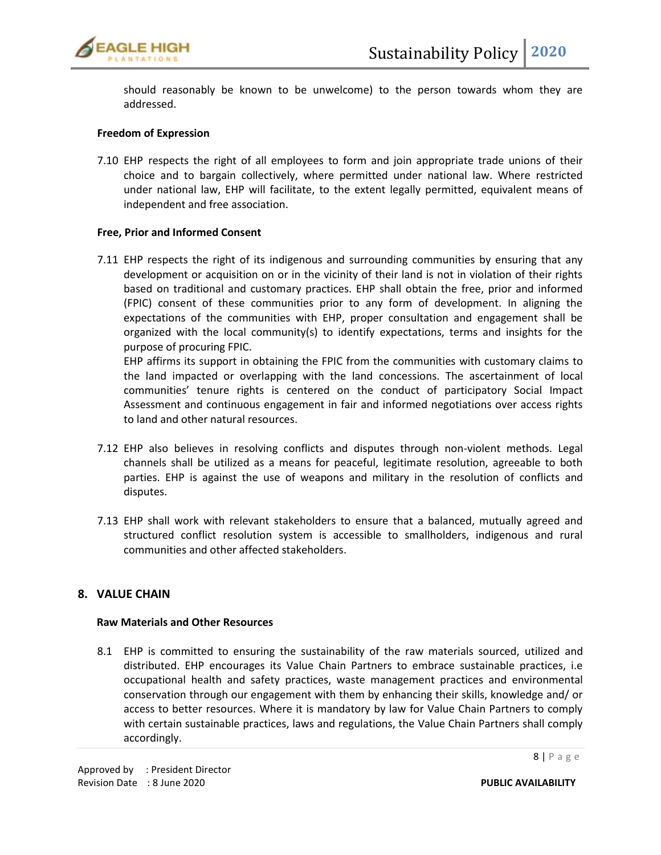

should reasonably be known to be unwelcome) to the person towards whom they are addressed.

## **Freedom of Expression**

7.10 EHP respects the right of all employees to form and join appropriate trade unions of their choice and to bargain collectively, where permitted under national law. Where restricted under national law, EHP will facilitate, to the extent legally permitted, equivalent means of independent and free association.

#### **Free, Prior and Informed Consent**

7.11 EHP respects the right of its indigenous and surrounding communities by ensuring that any development or acquisition on or in the vicinity of their land is not in violation of their rights based on traditional and customary practices. EHP shall obtain the free, prior and informed (FPIC) consent of these communities prior to any form of development. In aligning the expectations of the communities with EHP, proper consultation and engagement shall be organized with the local community(s) to identify expectations, terms and insights for the purpose of procuring FPIC.

EHP affirms its support in obtaining the FPIC from the communities with customary claims to the land impacted or overlapping with the land concessions. The ascertainment of local communities' tenure rights is centered on the conduct of participatory Social Impact Assessment and continuous engagement in fair and informed negotiations over access rights to land and other natural resources.

- 7.12 EHP also believes in resolving conflicts and disputes through non-violent methods. Legal channels shall be utilized as a means for peaceful, legitimate resolution, agreeable to both parties. EHP is against the use of weapons and military in the resolution of conflicts and disputes.
- 7.13 EHP shall work with relevant stakeholders to ensure that a balanced, mutually agreed and structured conflict resolution system is accessible to smallholders, indigenous and rural communities and other affected stakeholders.

## **8. VALUE CHAIN**

#### **Raw Materials and Other Resources**

8.1 EHP is committed to ensuring the sustainability of the raw materials sourced, utilized and distributed. EHP encourages its Value Chain Partners to embrace sustainable practices, i.e occupational health and safety practices, waste management practices and environmental conservation through our engagement with them by enhancing their skills, knowledge and/ or access to better resources. Where it is mandatory by law for Value Chain Partners to comply with certain sustainable practices, laws and regulations, the Value Chain Partners shall comply accordingly.